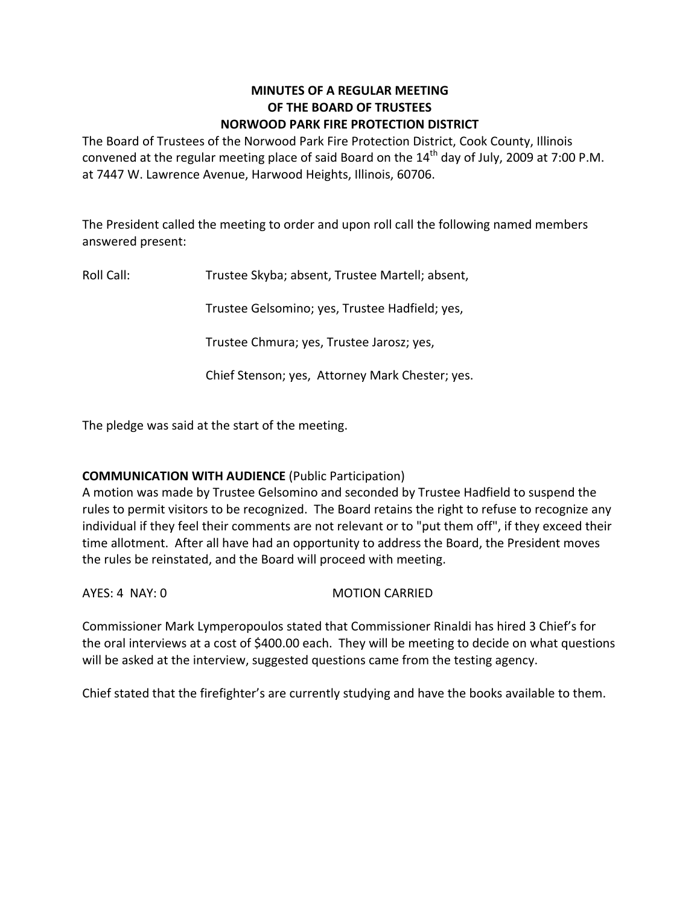# **MINUTES OF A REGULAR MEETING OF THE BOARD OF TRUSTEES NORWOOD PARK FIRE PROTECTION DISTRICT**

The Board of Trustees of the Norwood Park Fire Protection District, Cook County, Illinois convened at the regular meeting place of said Board on the  $14<sup>th</sup>$  day of July, 2009 at 7:00 P.M. at 7447 W. Lawrence Avenue, Harwood Heights, Illinois, 60706.

The President called the meeting to order and upon roll call the following named members answered present:

Roll Call: Trustee Skyba; absent, Trustee Martell; absent,

Trustee Gelsomino; yes, Trustee Hadfield; yes,

Trustee Chmura; yes, Trustee Jarosz; yes,

Chief Stenson; yes, Attorney Mark Chester; yes.

The pledge was said at the start of the meeting.

# **COMMUNICATION WITH AUDIENCE** (Public Participation)

A motion was made by Trustee Gelsomino and seconded by Trustee Hadfield to suspend the rules to permit visitors to be recognized. The Board retains the right to refuse to recognize any individual if they feel their comments are not relevant or to "put them off", if they exceed their time allotment. After all have had an opportunity to address the Board, the President moves the rules be reinstated, and the Board will proceed with meeting.

AYES: 4 NAY: 0 MOTION CARRIED

Commissioner Mark Lymperopoulos stated that Commissioner Rinaldi has hired 3 Chief's for the oral interviews at a cost of \$400.00 each. They will be meeting to decide on what questions will be asked at the interview, suggested questions came from the testing agency.

Chief stated that the firefighter's are currently studying and have the books available to them.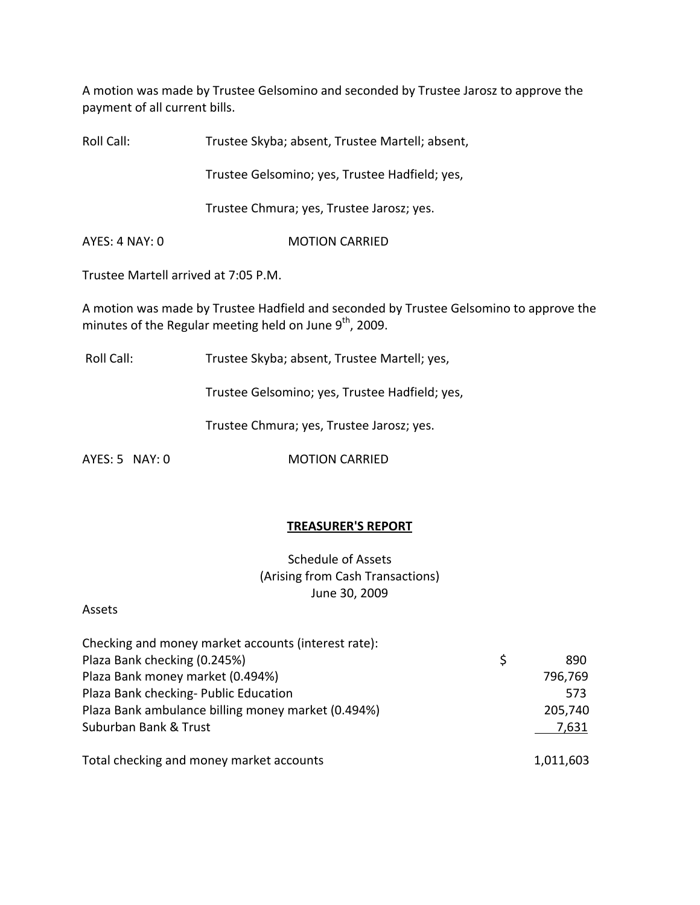A motion was made by Trustee Gelsomino and seconded by Trustee Jarosz to approve the payment of all current bills.

Roll Call: Trustee Skyba; absent, Trustee Martell; absent,

Trustee Gelsomino; yes, Trustee Hadfield; yes,

Trustee Chmura; yes, Trustee Jarosz; yes.

AYES: 4 NAY: 0 **MOTION CARRIED** 

Trustee Martell arrived at 7:05 P.M.

A motion was made by Trustee Hadfield and seconded by Trustee Gelsomino to approve the minutes of the Regular meeting held on June 9<sup>th</sup>, 2009.

Roll Call: Trustee Skyba; absent, Trustee Martell; yes,

Trustee Gelsomino; yes, Trustee Hadfield; yes,

Trustee Chmura; yes, Trustee Jarosz; yes.

AYES: 5 NAY: 0 **MOTION CARRIED** 

### **TREASURER'S REPORT**

Schedule of Assets (Arising from Cash Transactions) June 30, 2009

### Assets

| Checking and money market accounts (interest rate): |   |           |
|-----------------------------------------------------|---|-----------|
| Plaza Bank checking (0.245%)                        | S | 890       |
| Plaza Bank money market (0.494%)                    |   | 796,769   |
| Plaza Bank checking- Public Education               |   | 573       |
| Plaza Bank ambulance billing money market (0.494%)  |   | 205,740   |
| Suburban Bank & Trust                               |   | 7,631     |
|                                                     |   |           |
| Total checking and money market accounts            |   | 1,011,603 |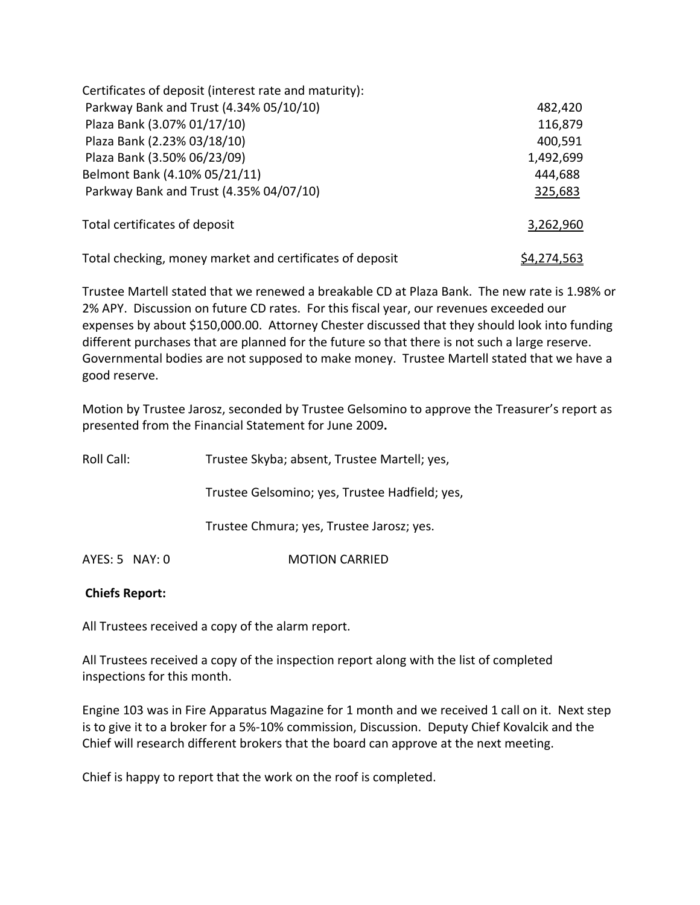| Certificates of deposit (interest rate and maturity):    |                    |
|----------------------------------------------------------|--------------------|
| Parkway Bank and Trust (4.34% 05/10/10)                  | 482,420            |
| Plaza Bank (3.07% 01/17/10)                              | 116,879            |
| Plaza Bank (2.23% 03/18/10)                              | 400,591            |
| Plaza Bank (3.50% 06/23/09)                              | 1,492,699          |
| Belmont Bank (4.10% 05/21/11)                            | 444,688            |
| Parkway Bank and Trust (4.35% 04/07/10)                  | 325,683            |
| Total certificates of deposit                            | 3,262,960          |
| Total checking, money market and certificates of deposit | <u>\$4,274,563</u> |

Trustee Martell stated that we renewed a breakable CD at Plaza Bank. The new rate is 1.98% or 2% APY. Discussion on future CD rates. For this fiscal year, our revenues exceeded our expenses by about \$150,000.00. Attorney Chester discussed that they should look into funding different purchases that are planned for the future so that there is not such a large reserve. Governmental bodies are not supposed to make money. Trustee Martell stated that we have a good reserve.

Motion by Trustee Jarosz, seconded by Trustee Gelsomino to approve the Treasurer's report as presented from the Financial Statement for June 2009**.**

| Roll Call:         | Trustee Skyba; absent, Trustee Martell; yes,   |
|--------------------|------------------------------------------------|
|                    | Trustee Gelsomino; yes, Trustee Hadfield; yes, |
|                    | Trustee Chmura; yes, Trustee Jarosz; yes.      |
| $AYES: 5$ NAY: $0$ | <b>MOTION CARRIED</b>                          |

## **Chiefs Report:**

All Trustees received a copy of the alarm report.

All Trustees received a copy of the inspection report along with the list of completed inspections for this month.

Engine 103 was in Fire Apparatus Magazine for 1 month and we received 1 call on it. Next step is to give it to a broker for a 5%‐10% commission, Discussion. Deputy Chief Kovalcik and the Chief will research different brokers that the board can approve at the next meeting.

Chief is happy to report that the work on the roof is completed.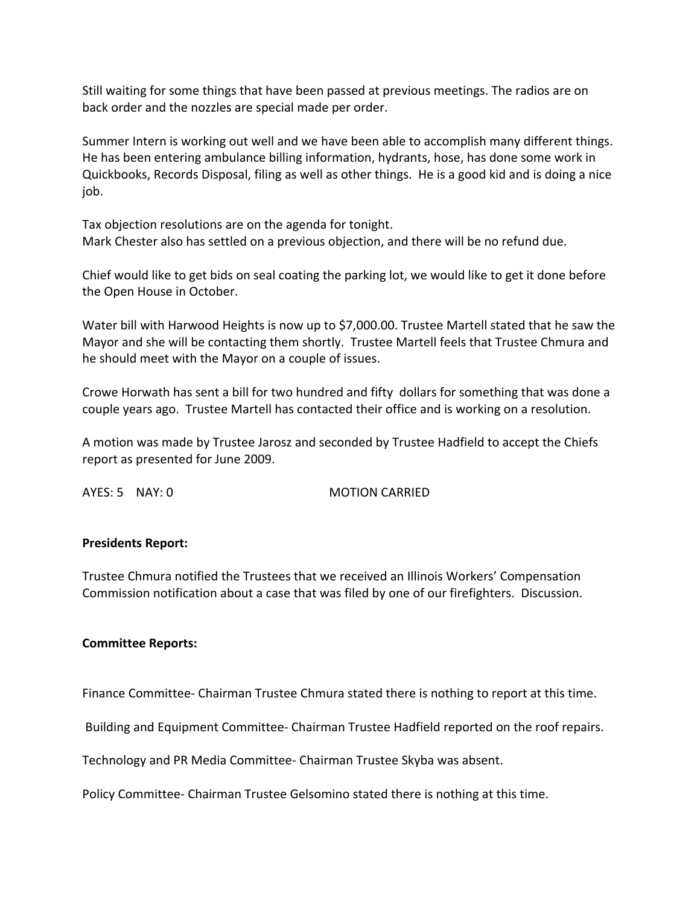Still waiting for some things that have been passed at previous meetings. The radios are on back order and the nozzles are special made per order.

Summer Intern is working out well and we have been able to accomplish many different things. He has been entering ambulance billing information, hydrants, hose, has done some work in Quickbooks, Records Disposal, filing as well as other things. He is a good kid and is doing a nice job.

Tax objection resolutions are on the agenda for tonight. Mark Chester also has settled on a previous objection, and there will be no refund due.

Chief would like to get bids on seal coating the parking lot, we would like to get it done before the Open House in October.

Water bill with Harwood Heights is now up to \$7,000.00. Trustee Martell stated that he saw the Mayor and she will be contacting them shortly. Trustee Martell feels that Trustee Chmura and he should meet with the Mayor on a couple of issues.

Crowe Horwath has sent a bill for two hundred and fifty dollars for something that was done a couple years ago. Trustee Martell has contacted their office and is working on a resolution.

A motion was made by Trustee Jarosz and seconded by Trustee Hadfield to accept the Chiefs report as presented for June 2009.

AYES: 5 NAY: 0 MOTION CARRIED

### **Presidents Report:**

Trustee Chmura notified the Trustees that we received an Illinois Workers' Compensation Commission notification about a case that was filed by one of our firefighters. Discussion.

#### **Committee Reports:**

Finance Committee‐ Chairman Trustee Chmura stated there is nothing to report at this time.

Building and Equipment Committee‐ Chairman Trustee Hadfield reported on the roof repairs.

Technology and PR Media Committee‐ Chairman Trustee Skyba was absent.

Policy Committee‐ Chairman Trustee Gelsomino stated there is nothing at this time.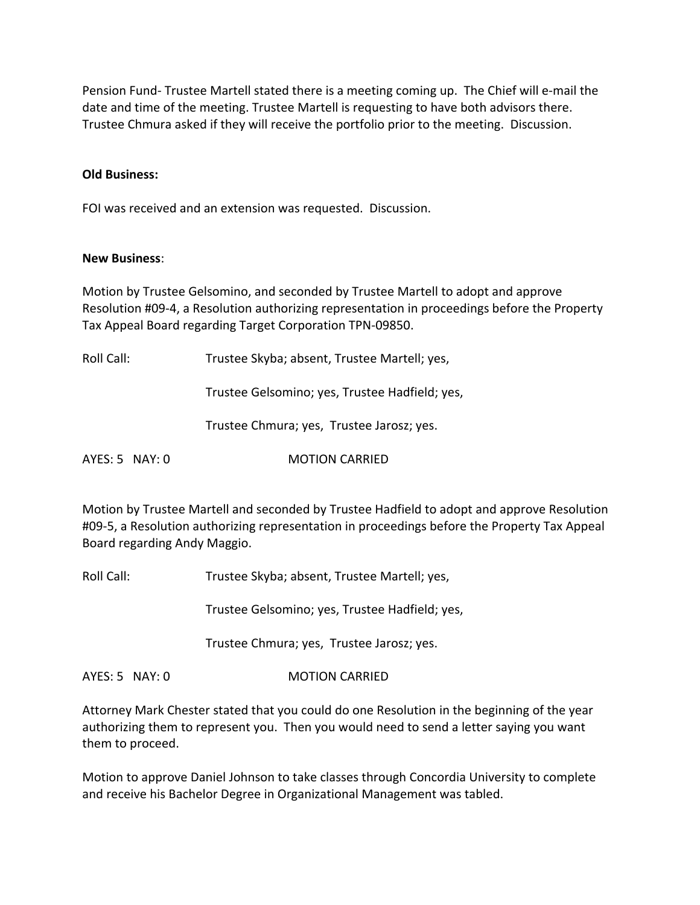Pension Fund-Trustee Martell stated there is a meeting coming up. The Chief will e-mail the date and time of the meeting. Trustee Martell is requesting to have both advisors there. Trustee Chmura asked if they will receive the portfolio prior to the meeting. Discussion.

#### **Old Business:**

FOI was received and an extension was requested. Discussion.

#### **New Business**:

Motion by Trustee Gelsomino, and seconded by Trustee Martell to adopt and approve Resolution #09‐4, a Resolution authorizing representation in proceedings before the Property Tax Appeal Board regarding Target Corporation TPN‐09850.

Roll Call: Trustee Skyba; absent, Trustee Martell; yes,

Trustee Gelsomino; yes, Trustee Hadfield; yes,

Trustee Chmura; yes, Trustee Jarosz; yes.

AYES: 5 NAY: 0 **MOTION CARRIED** 

Motion by Trustee Martell and seconded by Trustee Hadfield to adopt and approve Resolution #09‐5, a Resolution authorizing representation in proceedings before the Property Tax Appeal Board regarding Andy Maggio.

Roll Call: Trustee Skyba; absent, Trustee Martell; yes,

Trustee Gelsomino; yes, Trustee Hadfield; yes,

Trustee Chmura; yes, Trustee Jarosz; yes.

AYES: 5 NAY: 0 **MOTION CARRIED** 

Attorney Mark Chester stated that you could do one Resolution in the beginning of the year authorizing them to represent you. Then you would need to send a letter saying you want them to proceed.

Motion to approve Daniel Johnson to take classes through Concordia University to complete and receive his Bachelor Degree in Organizational Management was tabled.